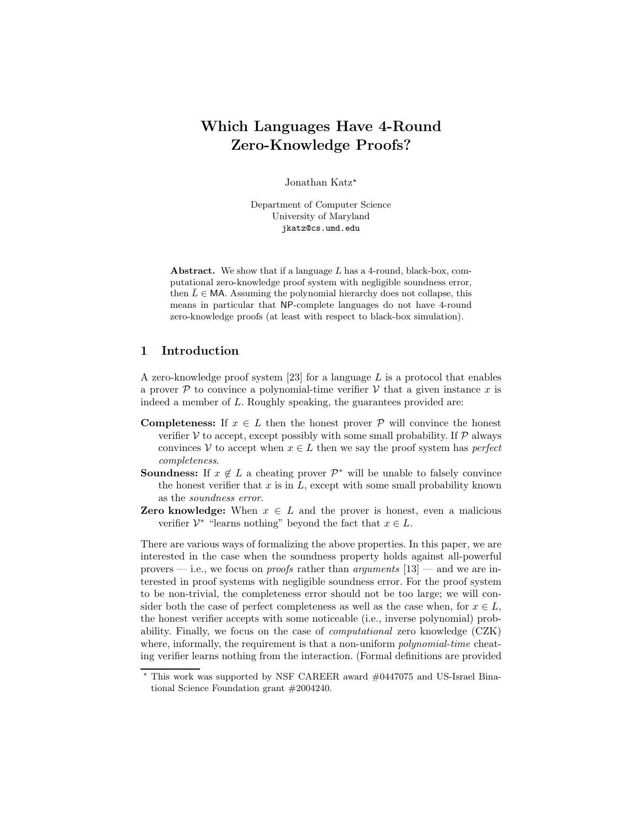# Which Languages Have 4-Round Zero-Knowledge Proofs?

Jonathan Katz\*

Department of Computer Science University of Maryland jkatz@cs.umd.edu

Abstract. We show that if a language  $L$  has a 4-round, black-box, computational zero-knowledge proof system with negligible soundness error, then  $\bar{L} \in \mathsf{MA}$ . Assuming the polynomial hierarchy does not collapse, this means in particular that NP-complete languages do not have 4-round zero-knowledge proofs (at least with respect to black-box simulation).

## 1 Introduction

A zero-knowledge proof system  $[23]$  for a language L is a protocol that enables a prover  $P$  to convince a polynomial-time verifier  $V$  that a given instance x is indeed a member of L. Roughly speaking, the guarantees provided are:

- **Completeness:** If  $x \in L$  then the honest prover P will convince the honest verifier  $V$  to accept, except possibly with some small probability. If  $\mathcal P$  always convinces V to accept when  $x \in L$  then we say the proof system has *perfect* completeness.
- **Soundness:** If  $x \notin L$  a cheating prover  $\mathcal{P}^*$  will be unable to falsely convince the honest verifier that  $x$  is in  $L$ , except with some small probability known as the soundness error.
- **Zero knowledge:** When  $x \in L$  and the prover is honest, even a malicious verifier  $\mathcal{V}^*$  "learns nothing" beyond the fact that  $x \in L$ .

There are various ways of formalizing the above properties. In this paper, we are interested in the case when the soundness property holds against all-powerful provers — i.e., we focus on *proofs* rather than *arguments*  $[13]$  — and we are interested in proof systems with negligible soundness error. For the proof system to be non-trivial, the completeness error should not be too large; we will consider both the case of perfect completeness as well as the case when, for  $x \in L$ , the honest verifier accepts with some noticeable (i.e., inverse polynomial) probability. Finally, we focus on the case of computational zero knowledge (CZK) where, informally, the requirement is that a non-uniform *polynomial-time* cheating verifier learns nothing from the interaction. (Formal definitions are provided

 $^{\star}$  This work was supported by NSF CAREER award #0447075 and US-Israel Binational Science Foundation grant #2004240.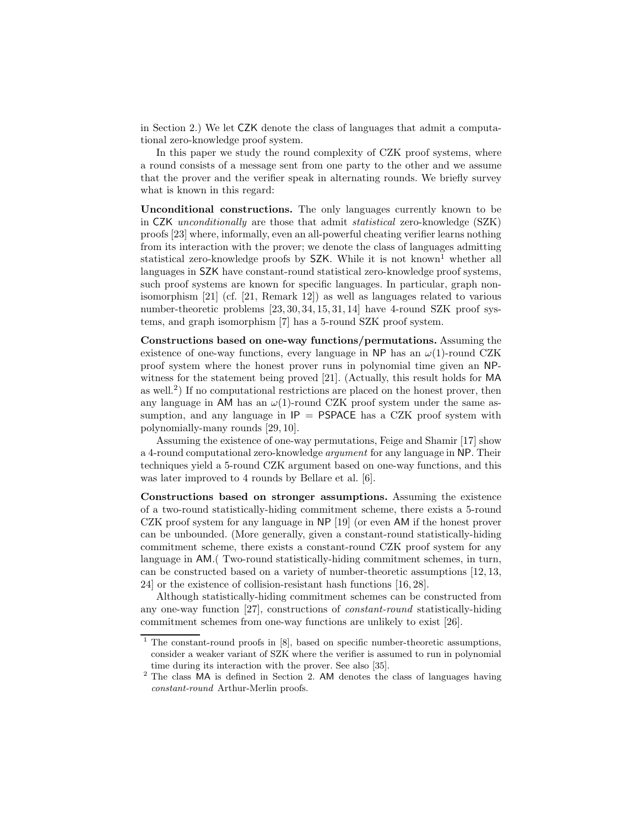in Section 2.) We let CZK denote the class of languages that admit a computational zero-knowledge proof system.

In this paper we study the round complexity of CZK proof systems, where a round consists of a message sent from one party to the other and we assume that the prover and the verifier speak in alternating rounds. We briefly survey what is known in this regard:

Unconditional constructions. The only languages currently known to be in CZK unconditionally are those that admit statistical zero-knowledge (SZK) proofs [23] where, informally, even an all-powerful cheating verifier learns nothing from its interaction with the prover; we denote the class of languages admitting statistical zero-knowledge proofs by  $SZK$ . While it is not known<sup>1</sup> whether all languages in SZK have constant-round statistical zero-knowledge proof systems, such proof systems are known for specific languages. In particular, graph nonisomorphism [21] (cf. [21, Remark 12]) as well as languages related to various number-theoretic problems [23, 30, 34, 15, 31, 14] have 4-round SZK proof systems, and graph isomorphism [7] has a 5-round SZK proof system.

Constructions based on one-way functions/permutations. Assuming the existence of one-way functions, every language in NP has an  $\omega(1)$ -round CZK proof system where the honest prover runs in polynomial time given an NPwitness for the statement being proved [21]. (Actually, this result holds for MA as well.<sup>2</sup>) If no computational restrictions are placed on the honest prover, then any language in AM has an  $\omega(1)$ -round CZK proof system under the same assumption, and any language in  $IP = PSPACE$  has a CZK proof system with polynomially-many rounds [29, 10].

Assuming the existence of one-way permutations, Feige and Shamir [17] show a 4-round computational zero-knowledge argument for any language in NP. Their techniques yield a 5-round CZK argument based on one-way functions, and this was later improved to 4 rounds by Bellare et al. [6].

Constructions based on stronger assumptions. Assuming the existence of a two-round statistically-hiding commitment scheme, there exists a 5-round CZK proof system for any language in NP [19] (or even AM if the honest prover can be unbounded. (More generally, given a constant-round statistically-hiding commitment scheme, there exists a constant-round CZK proof system for any language in AM.( Two-round statistically-hiding commitment schemes, in turn, can be constructed based on a variety of number-theoretic assumptions [12, 13, 24] or the existence of collision-resistant hash functions [16, 28].

Although statistically-hiding commitment schemes can be constructed from any one-way function [27], constructions of constant-round statistically-hiding commitment schemes from one-way functions are unlikely to exist [26].

 $1$  The constant-round proofs in [8], based on specific number-theoretic assumptions, consider a weaker variant of SZK where the verifier is assumed to run in polynomial time during its interaction with the prover. See also [35].

<sup>2</sup> The class MA is defined in Section 2. AM denotes the class of languages having constant-round Arthur-Merlin proofs.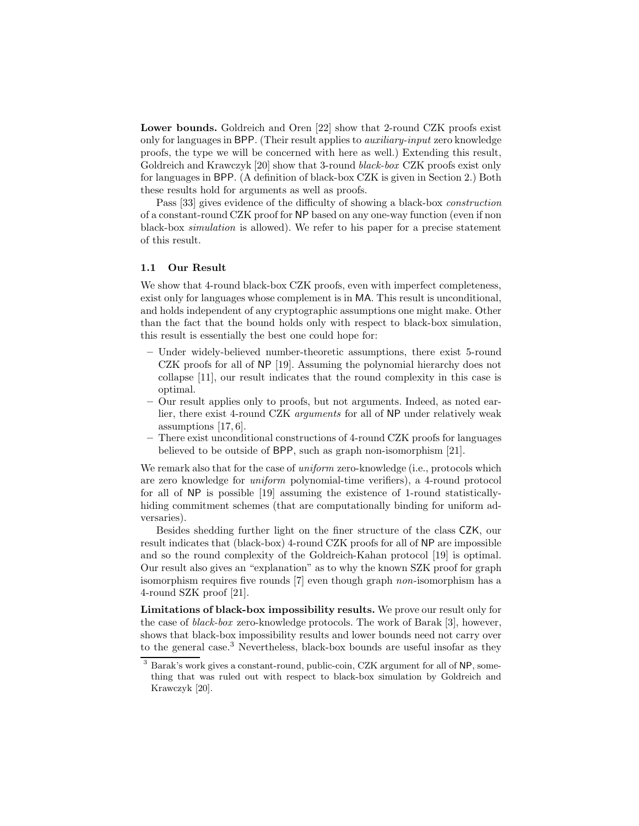Lower bounds. Goldreich and Oren [22] show that 2-round CZK proofs exist only for languages in BPP. (Their result applies to auxiliary-input zero knowledge proofs, the type we will be concerned with here as well.) Extending this result, Goldreich and Krawczyk [20] show that 3-round black-box CZK proofs exist only for languages in BPP. (A definition of black-box CZK is given in Section 2.) Both these results hold for arguments as well as proofs.

Pass [33] gives evidence of the difficulty of showing a black-box construction of a constant-round CZK proof for NP based on any one-way function (even if non black-box simulation is allowed). We refer to his paper for a precise statement of this result.

#### 1.1 Our Result

We show that 4-round black-box CZK proofs, even with imperfect completeness, exist only for languages whose complement is in MA. This result is unconditional, and holds independent of any cryptographic assumptions one might make. Other than the fact that the bound holds only with respect to black-box simulation, this result is essentially the best one could hope for:

- Under widely-believed number-theoretic assumptions, there exist 5-round CZK proofs for all of NP [19]. Assuming the polynomial hierarchy does not collapse [11], our result indicates that the round complexity in this case is optimal.
- Our result applies only to proofs, but not arguments. Indeed, as noted earlier, there exist 4-round CZK arguments for all of NP under relatively weak assumptions [17, 6].
- There exist unconditional constructions of 4-round CZK proofs for languages believed to be outside of BPP, such as graph non-isomorphism [21].

We remark also that for the case of *uniform* zero-knowledge (i.e., protocols which are zero knowledge for uniform polynomial-time verifiers), a 4-round protocol for all of NP is possible [19] assuming the existence of 1-round statisticallyhiding commitment schemes (that are computationally binding for uniform adversaries).

Besides shedding further light on the finer structure of the class CZK, our result indicates that (black-box) 4-round CZK proofs for all of NP are impossible and so the round complexity of the Goldreich-Kahan protocol [19] is optimal. Our result also gives an "explanation" as to why the known SZK proof for graph isomorphism requires five rounds [7] even though graph non-isomorphism has a 4-round SZK proof [21].

Limitations of black-box impossibility results. We prove our result only for the case of black-box zero-knowledge protocols. The work of Barak [3], however, shows that black-box impossibility results and lower bounds need not carry over to the general case.<sup>3</sup> Nevertheless, black-box bounds are useful insofar as they

<sup>3</sup> Barak's work gives a constant-round, public-coin, CZK argument for all of NP, something that was ruled out with respect to black-box simulation by Goldreich and Krawczyk [20].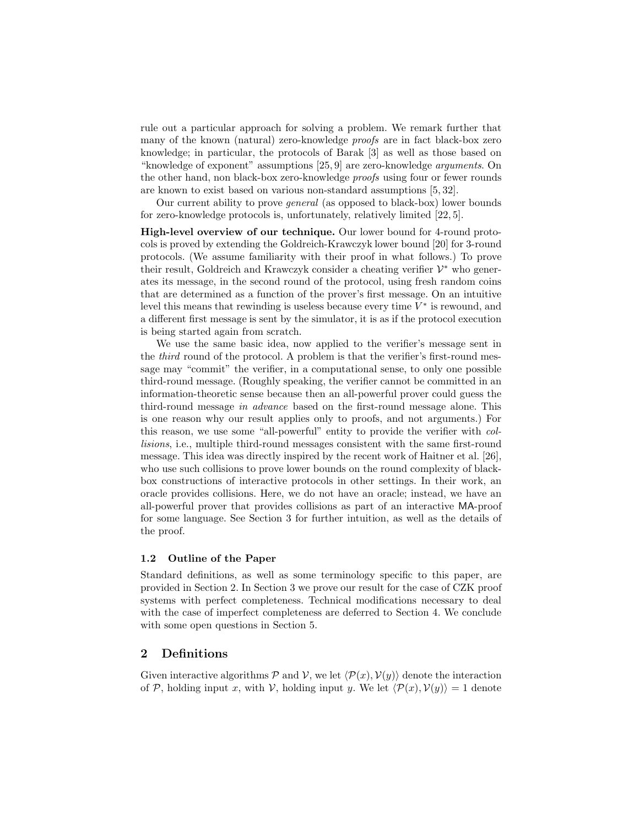rule out a particular approach for solving a problem. We remark further that many of the known (natural) zero-knowledge *proofs* are in fact black-box zero knowledge; in particular, the protocols of Barak [3] as well as those based on "knowledge of exponent" assumptions [25, 9] are zero-knowledge arguments. On the other hand, non black-box zero-knowledge proofs using four or fewer rounds are known to exist based on various non-standard assumptions [5, 32].

Our current ability to prove general (as opposed to black-box) lower bounds for zero-knowledge protocols is, unfortunately, relatively limited [22, 5].

High-level overview of our technique. Our lower bound for 4-round protocols is proved by extending the Goldreich-Krawczyk lower bound [20] for 3-round protocols. (We assume familiarity with their proof in what follows.) To prove their result, Goldreich and Krawczyk consider a cheating verifier  $\mathcal{V}^*$  who generates its message, in the second round of the protocol, using fresh random coins that are determined as a function of the prover's first message. On an intuitive level this means that rewinding is useless because every time  $V^*$  is rewound, and a different first message is sent by the simulator, it is as if the protocol execution is being started again from scratch.

We use the same basic idea, now applied to the verifier's message sent in the third round of the protocol. A problem is that the verifier's first-round message may "commit" the verifier, in a computational sense, to only one possible third-round message. (Roughly speaking, the verifier cannot be committed in an information-theoretic sense because then an all-powerful prover could guess the third-round message in advance based on the first-round message alone. This is one reason why our result applies only to proofs, and not arguments.) For this reason, we use some "all-powerful" entity to provide the verifier with collisions, i.e., multiple third-round messages consistent with the same first-round message. This idea was directly inspired by the recent work of Haitner et al. [26], who use such collisions to prove lower bounds on the round complexity of blackbox constructions of interactive protocols in other settings. In their work, an oracle provides collisions. Here, we do not have an oracle; instead, we have an all-powerful prover that provides collisions as part of an interactive MA-proof for some language. See Section 3 for further intuition, as well as the details of the proof.

#### 1.2 Outline of the Paper

Standard definitions, as well as some terminology specific to this paper, are provided in Section 2. In Section 3 we prove our result for the case of CZK proof systems with perfect completeness. Technical modifications necessary to deal with the case of imperfect completeness are deferred to Section 4. We conclude with some open questions in Section 5.

## 2 Definitions

Given interactive algorithms  $P$  and  $V$ , we let  $\langle P(x), V(y) \rangle$  denote the interaction of P, holding input x, with V, holding input y. We let  $\langle \mathcal{P}(x), \mathcal{V}(y) \rangle = 1$  denote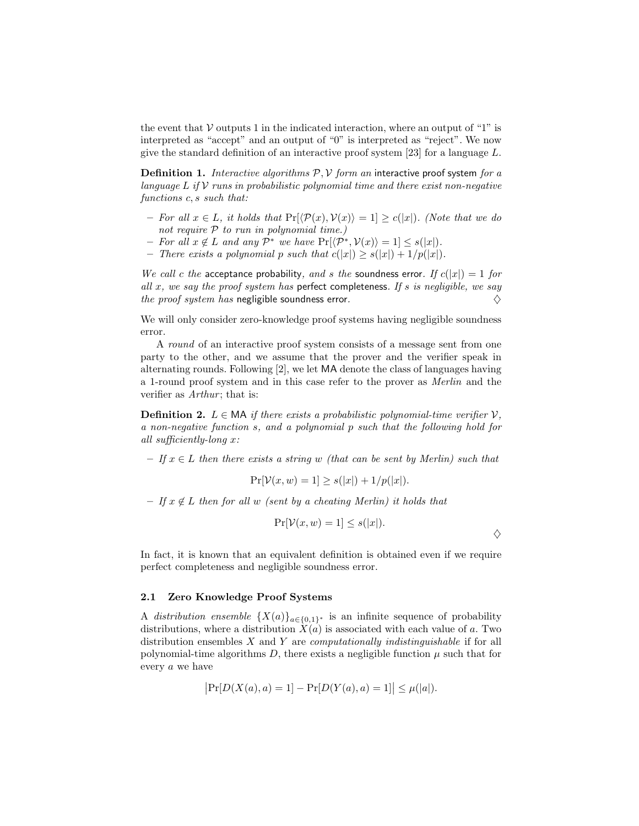the event that  $V$  outputs 1 in the indicated interaction, where an output of "1" is interpreted as "accept" and an output of "0" is interpreted as "reject". We now give the standard definition of an interactive proof system [23] for a language L.

**Definition 1.** Interactive algorithms  $P, V$  form an interactive proof system for a language  $L$  if  $V$  runs in probabilistic polynomial time and there exist non-negative functions c, s such that:

- For all  $x \in L$ , it holds that  $Pr[langle\mathcal{P}(x), \mathcal{V}(x)\rangle = 1] ≥ c(|x|)$ . (Note that we do not require  $P$  to run in polynomial time.)
- $-$  For all  $x \notin L$  and any  $\mathcal{P}^*$  we have  $\Pr[\langle \mathcal{P}^*, \mathcal{V}(x) \rangle = 1] \leq s(|x|)$ .
- There exists a polynomial p such that  $c(|x|) \geq s(|x|) + 1/p(|x|)$ .

We call c the acceptance probability, and s the soundness error. If  $c(|x|) = 1$  for all  $x$ , we say the proof system has perfect completeness. If  $s$  is negligible, we say the proof system has negligible soundness error.  $\diamondsuit$ 

We will only consider zero-knowledge proof systems having negligible soundness error.

A round of an interactive proof system consists of a message sent from one party to the other, and we assume that the prover and the verifier speak in alternating rounds. Following [2], we let MA denote the class of languages having a 1-round proof system and in this case refer to the prover as Merlin and the verifier as *Arthur*; that is:

**Definition 2.**  $L \in \mathsf{MA}$  if there exists a probabilistic polynomial-time verifier  $\mathcal{V}$ . a non-negative function s, and a polynomial p such that the following hold for all sufficiently-long x:

 $-If$   $x \in L$  then there exists a string w (that can be sent by Merlin) such that

$$
Pr[\mathcal{V}(x, w) = 1] \ge s(|x|) + 1/p(|x|).
$$

 $-$  If  $x \notin L$  then for all w (sent by a cheating Merlin) it holds that

$$
\Pr[\mathcal{V}(x, w) = 1] \le s(|x|).
$$

In fact, it is known that an equivalent definition is obtained even if we require perfect completeness and negligible soundness error.

#### 2.1 Zero Knowledge Proof Systems

A distribution ensemble  $\{X(a)\}_{a\in\{0,1\}^*}$  is an infinite sequence of probability distributions, where a distribution  $X(a)$  is associated with each value of a. Two distribution ensembles  $X$  and  $Y$  are *computationally indistinguishable* if for all polynomial-time algorithms  $D$ , there exists a negligible function  $\mu$  such that for every a we have

$$
\bigl|\Pr[D(X(a),a)=1]-\Pr[D(Y(a),a)=1]\bigr|\leq\mu(|a|).
$$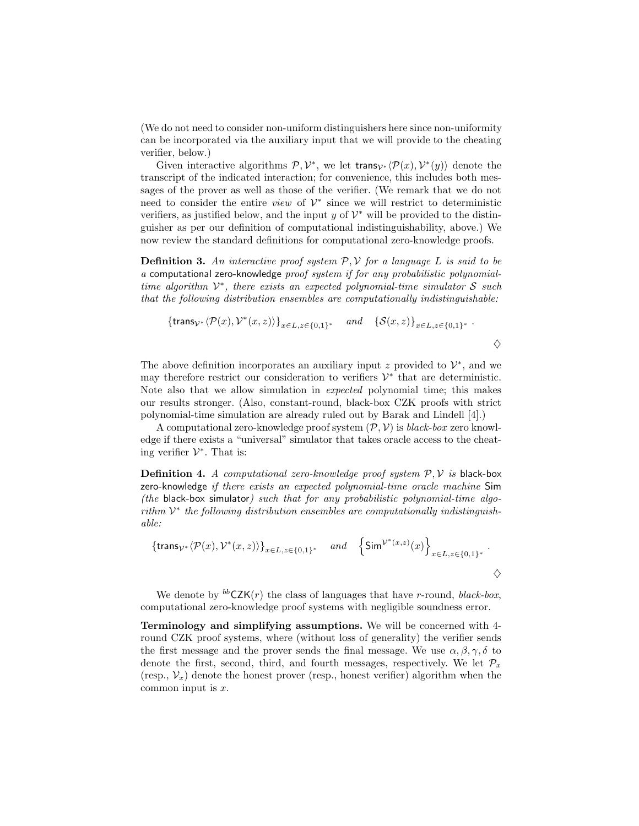(We do not need to consider non-uniform distinguishers here since non-uniformity can be incorporated via the auxiliary input that we will provide to the cheating verifier, below.)

Given interactive algorithms  $P, V^*$ , we let trans $v^* \langle P(x), V^*(y) \rangle$  denote the transcript of the indicated interaction; for convenience, this includes both messages of the prover as well as those of the verifier. (We remark that we do not need to consider the entire *view* of  $\mathcal{V}^*$  since we will restrict to deterministic verifiers, as justified below, and the input y of  $\mathcal{V}^*$  will be provided to the distinguisher as per our definition of computational indistinguishability, above.) We now review the standard definitions for computational zero-knowledge proofs.

**Definition 3.** An interactive proof system  $P, V$  for a language L is said to be a computational zero-knowledge proof system if for any probabilistic polynomialtime algorithm  $V^*$ , there exists an expected polynomial-time simulator  $S$  such that the following distribution ensembles are computationally indistinguishable:

$$
{\{trans_{\mathcal{V}^*}\langle \mathcal{P}(x), \mathcal{V}^*(x,z) \rangle\}_{x \in L, z \in \{0,1\}^*}} \quad and \quad {\{\mathcal{S}(x,z)\}_{x \in L, z \in \{0,1\}^*}}.
$$

 $\diamondsuit$ 

The above definition incorporates an auxiliary input z provided to  $\mathcal{V}^*$ , and we may therefore restrict our consideration to verifiers  $\mathcal{V}^*$  that are deterministic. Note also that we allow simulation in expected polynomial time; this makes our results stronger. (Also, constant-round, black-box CZK proofs with strict polynomial-time simulation are already ruled out by Barak and Lindell [4].)

A computational zero-knowledge proof system  $(\mathcal{P}, \mathcal{V})$  is black-box zero knowledge if there exists a "universal" simulator that takes oracle access to the cheating verifier  $\mathcal{V}^*$ . That is:

**Definition 4.** A computational zero-knowledge proof system  $\mathcal{P}, \mathcal{V}$  is black-box zero-knowledge if there exists an expected polynomial-time oracle machine Sim (the black-box simulator) such that for any probabilistic polynomial-time algo $rithm V<sup>*</sup>$  the following distribution ensembles are computationally indistinguishable:

$$
\left\{\operatorname{trans}_{\mathcal{V}^*}\langle\mathcal{P}(x),\mathcal{V}^*(x,z)\rangle\right\}_{x\in L, z\in\{0,1\}^*} \quad \text{and} \quad \left\{\operatorname{Sim}^{\mathcal{V}^*(x,z)}(x)\right\}_{x\in L, z\in\{0,1\}^*}.
$$

We denote by  $^{bb}CZK(r)$  the class of languages that have r-round, black-box, computational zero-knowledge proof systems with negligible soundness error.

Terminology and simplifying assumptions. We will be concerned with 4 round CZK proof systems, where (without loss of generality) the verifier sends the first message and the prover sends the final message. We use  $\alpha, \beta, \gamma, \delta$  to denote the first, second, third, and fourth messages, respectively. We let  $\mathcal{P}_x$ (resp.,  $V_x$ ) denote the honest prover (resp., honest verifier) algorithm when the common input is  $x$ .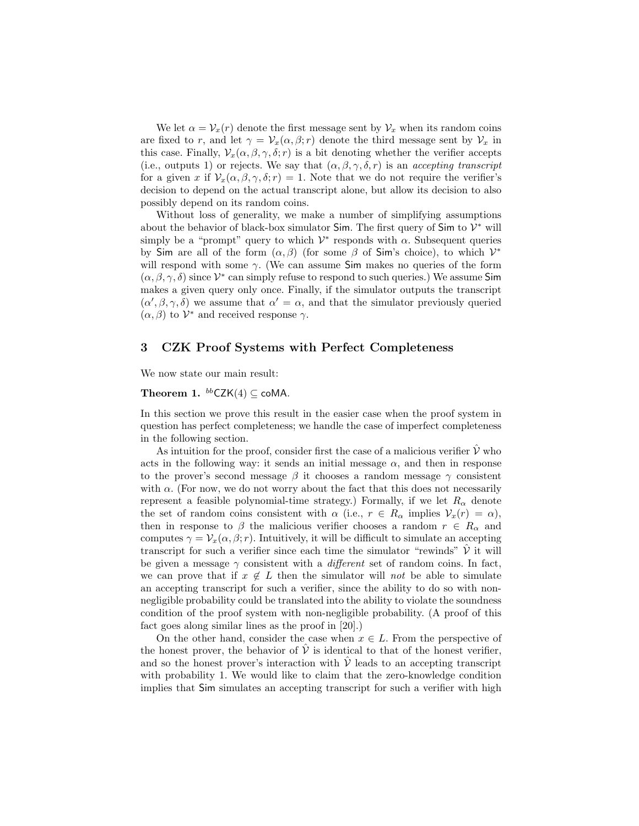We let  $\alpha = V_x(r)$  denote the first message sent by  $V_x$  when its random coins are fixed to r, and let  $\gamma = \mathcal{V}_x(\alpha, \beta; r)$  denote the third message sent by  $\mathcal{V}_x$  in this case. Finally,  $V_x(\alpha, \beta, \gamma, \delta; r)$  is a bit denoting whether the verifier accepts (i.e., outputs 1) or rejects. We say that  $(\alpha, \beta, \gamma, \delta, r)$  is an *accepting transcript* for a given x if  $\mathcal{V}_x(\alpha,\beta,\gamma,\delta;r) = 1$ . Note that we do not require the verifier's decision to depend on the actual transcript alone, but allow its decision to also possibly depend on its random coins.

Without loss of generality, we make a number of simplifying assumptions about the behavior of black-box simulator  $Sim$ . The first query of  $Sim$  to  $\mathcal{V}^*$  will simply be a "prompt" query to which  $\mathcal{V}^*$  responds with  $\alpha$ . Subsequent queries by Sim are all of the form  $(\alpha, \beta)$  (for some  $\beta$  of Sim's choice), to which  $\mathcal{V}^*$ will respond with some  $\gamma$ . (We can assume Sim makes no queries of the form  $(\alpha, \beta, \gamma, \delta)$  since  $\mathcal{V}^*$  can simply refuse to respond to such queries.) We assume Sim makes a given query only once. Finally, if the simulator outputs the transcript  $(\alpha', \beta, \gamma, \delta)$  we assume that  $\alpha' = \alpha$ , and that the simulator previously queried  $(\alpha, \beta)$  to  $\mathcal{V}^*$  and received response  $\gamma$ .

#### 3 CZK Proof Systems with Perfect Completeness

We now state our main result:

Theorem 1.  $^{bb}CZK(4) \subseteq \text{coMA}.$ 

In this section we prove this result in the easier case when the proof system in question has perfect completeness; we handle the case of imperfect completeness in the following section.

As intuition for the proof, consider first the case of a malicious verifier  $\hat{V}$  who acts in the following way: it sends an initial message  $\alpha$ , and then in response to the prover's second message  $\beta$  it chooses a random message  $\gamma$  consistent with  $\alpha$ . (For now, we do not worry about the fact that this does not necessarily represent a feasible polynomial-time strategy.) Formally, if we let  $R_{\alpha}$  denote the set of random coins consistent with  $\alpha$  (i.e.,  $r \in R_\alpha$  implies  $\mathcal{V}_x(r) = \alpha$ ), then in response to  $\beta$  the malicious verifier chooses a random  $r \in R_{\alpha}$  and computes  $\gamma = \mathcal{V}_x(\alpha, \beta; r)$ . Intuitively, it will be difficult to simulate an accepting transcript for such a verifier since each time the simulator "rewinds"  $\hat{V}$  it will be given a message  $\gamma$  consistent with a *different* set of random coins. In fact, we can prove that if  $x \notin L$  then the simulator will not be able to simulate an accepting transcript for such a verifier, since the ability to do so with nonnegligible probability could be translated into the ability to violate the soundness condition of the proof system with non-negligible probability. (A proof of this fact goes along similar lines as the proof in [20].)

On the other hand, consider the case when  $x \in L$ . From the perspective of the honest prover, the behavior of  $\hat{\mathcal{V}}$  is identical to that of the honest verifier, and so the honest prover's interaction with  $\mathcal V$  leads to an accepting transcript with probability 1. We would like to claim that the zero-knowledge condition implies that Sim simulates an accepting transcript for such a verifier with high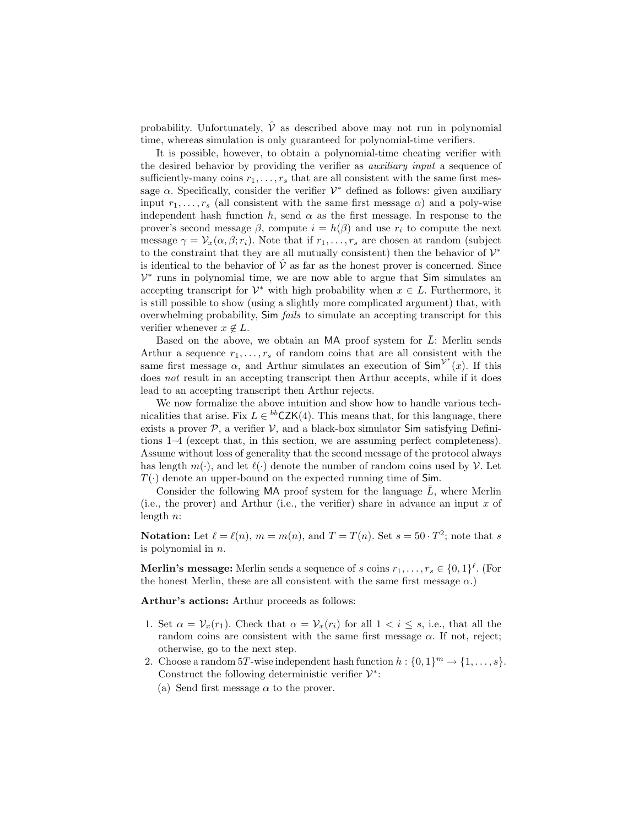probability. Unfortunately,  $\hat{V}$  as described above may not run in polynomial time, whereas simulation is only guaranteed for polynomial-time verifiers.

It is possible, however, to obtain a polynomial-time cheating verifier with the desired behavior by providing the verifier as auxiliary input a sequence of sufficiently-many coins  $r_1, \ldots, r_s$  that are all consistent with the same first message  $\alpha$ . Specifically, consider the verifier  $\mathcal{V}^*$  defined as follows: given auxiliary input  $r_1, \ldots, r_s$  (all consistent with the same first message  $\alpha$ ) and a poly-wise independent hash function h, send  $\alpha$  as the first message. In response to the prover's second message  $\beta$ , compute  $i = h(\beta)$  and use  $r_i$  to compute the next message  $\gamma = \mathcal{V}_x(\alpha, \beta; r_i)$ . Note that if  $r_1, \ldots, r_s$  are chosen at random (subject to the constraint that they are all mutually consistent) then the behavior of  $\mathcal{V}^*$ is identical to the behavior of  $\hat{V}$  as far as the honest prover is concerned. Since  $V^*$  runs in polynomial time, we are now able to argue that Sim simulates an accepting transcript for  $\mathcal{V}^*$  with high probability when  $x \in L$ . Furthermore, it is still possible to show (using a slightly more complicated argument) that, with overwhelming probability, Sim fails to simulate an accepting transcript for this verifier whenever  $x \notin L$ .

Based on the above, we obtain an MA proof system for  $\overline{L}$ : Merlin sends Arthur a sequence  $r_1, \ldots, r_s$  of random coins that are all consistent with the same first message  $\alpha$ , and Arthur simulates an execution of  $\mathsf{Sim}^{\mathcal{V}^*}(x)$ . If this does not result in an accepting transcript then Arthur accepts, while if it does lead to an accepting transcript then Arthur rejects.

We now formalize the above intuition and show how to handle various technicalities that arise. Fix  $L \in {}^{bb}C2K(4)$ . This means that, for this language, there exists a prover  $P$ , a verifier  $V$ , and a black-box simulator Sim satisfying Definitions 1–4 (except that, in this section, we are assuming perfect completeness). Assume without loss of generality that the second message of the protocol always has length  $m(\cdot)$ , and let  $\ell(\cdot)$  denote the number of random coins used by  $\mathcal V$ . Let  $T(\cdot)$  denote an upper-bound on the expected running time of Sim.

Consider the following MA proof system for the language  $\overline{L}$ , where Merlin (i.e., the prover) and Arthur (i.e., the verifier) share in advance an input  $x$  of length  $n$ :

**Notation:** Let  $\ell = \ell(n)$ ,  $m = m(n)$ , and  $T = T(n)$ . Set  $s = 50 \cdot T^2$ ; note that s is polynomial in  $n$ .

**Merlin's message:** Merlin sends a sequence of s coins  $r_1, \ldots, r_s \in \{0,1\}^{\ell}$ . (For the honest Merlin, these are all consistent with the same first message  $\alpha$ .)

Arthur's actions: Arthur proceeds as follows:

- 1. Set  $\alpha = \mathcal{V}_x(r_1)$ . Check that  $\alpha = \mathcal{V}_x(r_i)$  for all  $1 \leq i \leq s$ , i.e., that all the random coins are consistent with the same first message  $\alpha$ . If not, reject; otherwise, go to the next step.
- 2. Choose a random 5T-wise independent hash function  $h: \{0,1\}^m \to \{1,\ldots,s\}.$ Construct the following deterministic verifier  $\mathcal{V}^*$ :
	- (a) Send first message  $\alpha$  to the prover.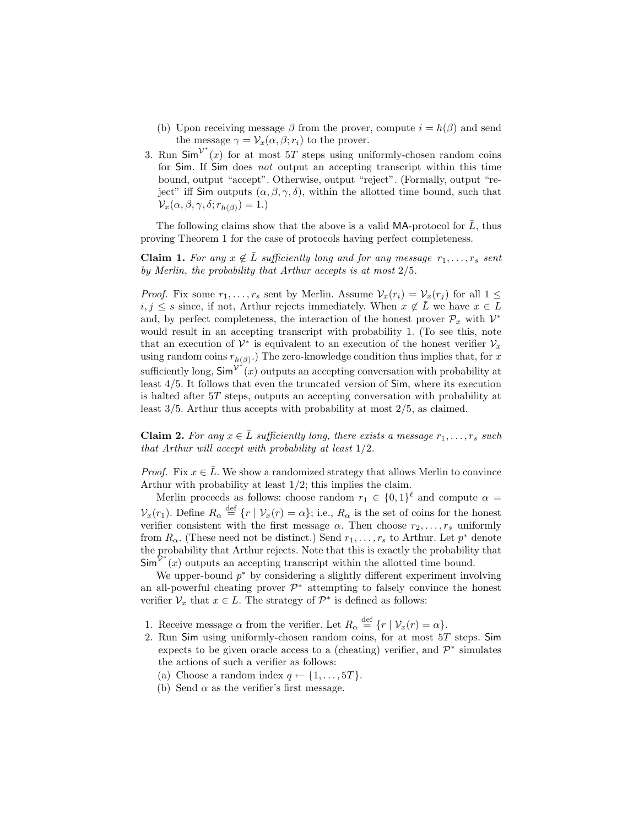- (b) Upon receiving message  $\beta$  from the prover, compute  $i = h(\beta)$  and send the message  $\gamma = \mathcal{V}_x(\alpha, \beta; r_i)$  to the prover.
- 3. Run  $\textsf{Sim}^{\mathcal{V}^*}(x)$  for at most 5T steps using uniformly-chosen random coins for Sim. If Sim does not output an accepting transcript within this time bound, output "accept". Otherwise, output "reject". (Formally, output "reject" iff Sim outputs  $(\alpha, \beta, \gamma, \delta)$ , within the allotted time bound, such that  $\mathcal{V}_x(\alpha,\beta,\gamma,\delta;r_{h(\beta)})=1.$

The following claims show that the above is a valid MA-protocol for  $\overline{L}$ , thus proving Theorem 1 for the case of protocols having perfect completeness.

**Claim 1.** For any  $x \notin \overline{L}$  sufficiently long and for any message  $r_1, \ldots, r_s$  sent by Merlin, the probability that Arthur accepts is at most 2/5.

*Proof.* Fix some  $r_1, \ldots, r_s$  sent by Merlin. Assume  $\mathcal{V}_x(r_i) = \mathcal{V}_x(r_i)$  for all  $1 \leq$  $i, j \leq s$  since, if not, Arthur rejects immediately. When  $x \notin \overline{L}$  we have  $x \in L$ and, by perfect completeness, the interaction of the honest prover  $\mathcal{P}_x$  with  $\mathcal{V}^*$ would result in an accepting transcript with probability 1. (To see this, note that an execution of  $\mathcal{V}^*$  is equivalent to an execution of the honest verifier  $\mathcal{V}_x$ using random coins  $r_{h(\beta)}$ .) The zero-knowledge condition thus implies that, for x sufficiently long,  $\textsf{Sim}^{\mathcal{V}^*}(x)$  outputs an accepting conversation with probability at least 4/5. It follows that even the truncated version of Sim, where its execution is halted after 5T steps, outputs an accepting conversation with probability at least 3/5. Arthur thus accepts with probability at most 2/5, as claimed.

**Claim 2.** For any  $x \in \overline{L}$  sufficiently long, there exists a message  $r_1, \ldots, r_s$  such that Arthur will accept with probability at least 1/2.

*Proof.* Fix  $x \in L$ . We show a randomized strategy that allows Merlin to convince Arthur with probability at least 1/2; this implies the claim.

Merlin proceeds as follows: choose random  $r_1 \in \{0,1\}^{\ell}$  and compute  $\alpha =$  $\mathcal{V}_x(r_1)$ . Define  $R_\alpha \stackrel{\text{def}}{=} \{r \mid \mathcal{V}_x(r) = \alpha\};$  i.e.,  $R_\alpha$  is the set of coins for the honest verifier consistent with the first message  $\alpha$ . Then choose  $r_2, \ldots, r_s$  uniformly from  $R_{\alpha}$ . (These need not be distinct.) Send  $r_1, \ldots, r_s$  to Arthur. Let  $p^*$  denote the probability that Arthur rejects. Note that this is exactly the probability that  $\sin^{v*}(x)$  outputs an accepting transcript within the allotted time bound.

We upper-bound  $p^*$  by considering a slightly different experiment involving an all-powerful cheating prover  $\mathcal{P}^*$  attempting to falsely convince the honest verifier  $\mathcal{V}_x$  that  $x \in L$ . The strategy of  $\mathcal{P}^*$  is defined as follows:

- 1. Receive message  $\alpha$  from the verifier. Let  $R_{\alpha} \stackrel{\text{def}}{=} \{r \mid \mathcal{V}_x(r) = \alpha\}.$
- 2. Run Sim using uniformly-chosen random coins, for at most  $5T$  steps. Sim expects to be given oracle access to a (cheating) verifier, and  $\mathcal{P}^*$  simulates the actions of such a verifier as follows:
	- (a) Choose a random index  $q \leftarrow \{1, \ldots, 5T\}.$
	- (b) Send  $\alpha$  as the verifier's first message.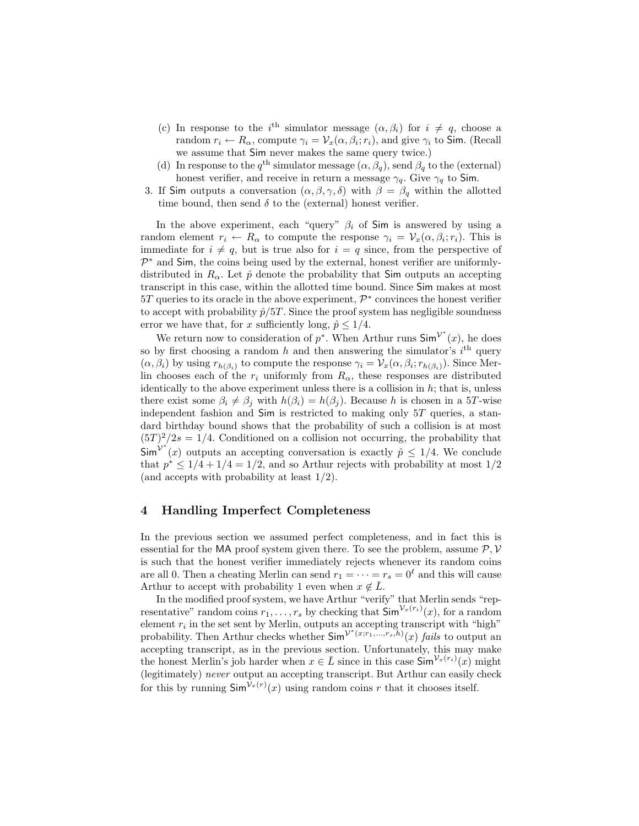- (c) In response to the i<sup>th</sup> simulator message  $(\alpha, \beta_i)$  for  $i \neq q$ , choose a random  $r_i \leftarrow R_\alpha$ , compute  $\gamma_i = \mathcal{V}_x(\alpha, \beta_i; r_i)$ , and give  $\gamma_i$  to Sim. (Recall we assume that Sim never makes the same query twice.)
- (d) In response to the  $q^{\text{th}}$  simulator message  $(\alpha, \beta_q)$ , send  $\beta_q$  to the (external) honest verifier, and receive in return a message  $\gamma_q$ . Give  $\gamma_q$  to Sim.
- 3. If Sim outputs a conversation  $(\alpha, \beta, \gamma, \delta)$  with  $\beta = \beta_q$  within the allotted time bound, then send  $\delta$  to the (external) honest verifier.

In the above experiment, each "query"  $\beta_i$  of Sim is answered by using a random element  $r_i \leftarrow R_\alpha$  to compute the response  $\gamma_i = \mathcal{V}_x(\alpha, \beta_i; r_i)$ . This is immediate for  $i \neq q$ , but is true also for  $i = q$  since, from the perspective of  $\mathcal{P}^*$  and Sim, the coins being used by the external, honest verifier are uniformlydistributed in  $R_{\alpha}$ . Let  $\hat{p}$  denote the probability that Sim outputs an accepting transcript in this case, within the allotted time bound. Since Sim makes at most  $5T$  queries to its oracle in the above experiment,  $\mathcal{P}^*$  convinces the honest verifier to accept with probability  $\hat{p}/5T$ . Since the proof system has negligible soundness error we have that, for x sufficiently long,  $\hat{p} \leq 1/4$ .

We return now to consideration of  $p^*$ . When Arthur runs  $\mathsf{Sim}^{\mathcal{V}^*}(x)$ , he does so by first choosing a random h and then answering the simulator's  $i<sup>th</sup>$  query  $(\alpha, \beta_i)$  by using  $r_{h(\beta_i)}$  to compute the response  $\gamma_i = \mathcal{V}_x(\alpha, \beta_i; r_{h(\beta_i)})$ . Since Merlin chooses each of the  $r_i$  uniformly from  $R_\alpha$ , these responses are distributed identically to the above experiment unless there is a collision in  $h$ ; that is, unless there exist some  $\beta_i \neq \beta_j$  with  $h(\beta_i) = h(\beta_j)$ . Because h is chosen in a 5T-wise independent fashion and Sim is restricted to making only 5T queries, a standard birthday bound shows that the probability of such a collision is at most  $(5T)^2/2s = 1/4$ . Conditioned on a collision not occurring, the probability that  $\text{Sim}^{\mathcal{V}^*}(x)$  outputs an accepting conversation is exactly  $\widetilde{p} \leq 1/4$ . We conclude that  $p^* \leq 1/4 + 1/4 = 1/2$ , and so Arthur rejects with probability at most  $1/2$ (and accepts with probability at least 1/2).

# 4 Handling Imperfect Completeness

In the previous section we assumed perfect completeness, and in fact this is essential for the MA proof system given there. To see the problem, assume  $P, V$ is such that the honest verifier immediately rejects whenever its random coins are all 0. Then a cheating Merlin can send  $r_1 = \cdots = r_s = 0^{\ell}$  and this will cause Arthur to accept with probability 1 even when  $x \notin \overline{L}$ .

In the modified proof system, we have Arthur "verify" that Merlin sends "representative" random coins  $r_1, \ldots, r_s$  by checking that  $\mathsf{Sim}^{\mathcal{V}_x(r_i)}(x)$ , for a random element  $r_i$  in the set sent by Merlin, outputs an accepting transcript with "high" probability. Then Arthur checks whether  $\lim^{y^*(x;r_1,...,r_s,h)}(x)$  fails to output an accepting transcript, as in the previous section. Unfortunately, this may make the honest Merlin's job harder when  $x \in \overline{L}$  since in this case  $\textsf{Sim}^{\mathcal{V}_x(r_i)}(x)$  might (legitimately) never output an accepting transcript. But Arthur can easily check for this by running  $\textsf{Sim}^{\mathcal{V}_x(r)}(x)$  using random coins r that it chooses itself.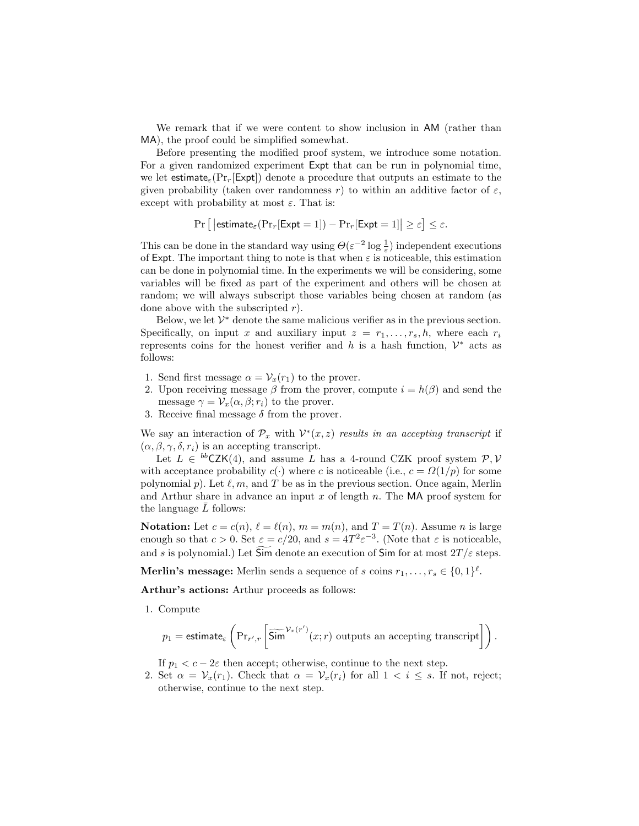We remark that if we were content to show inclusion in AM (rather than MA), the proof could be simplified somewhat.

Before presenting the modified proof system, we introduce some notation. For a given randomized experiment Expt that can be run in polynomial time, we let estimate<sub> $\varepsilon$ </sub>(Pr<sub>r</sub>[Expt]) denote a procedure that outputs an estimate to the given probability (taken over randomness r) to within an additive factor of  $\varepsilon$ , except with probability at most  $\varepsilon$ . That is:

$$
\Pr\big[\left|\mathsf{estimate}_{\varepsilon}(\Pr_r[\mathsf{Expt}=1])-\Pr_r[\mathsf{Expt}=1]\right|\geq \varepsilon\big]\leq \varepsilon.
$$

This can be done in the standard way using  $\Theta(\varepsilon^{-2} \log \frac{1}{\varepsilon})$  independent executions of Expt. The important thing to note is that when  $\varepsilon$  is noticeable, this estimation can be done in polynomial time. In the experiments we will be considering, some variables will be fixed as part of the experiment and others will be chosen at random; we will always subscript those variables being chosen at random (as done above with the subscripted  $r$ ).

Below, we let  $\mathcal{V}^*$  denote the same malicious verifier as in the previous section. Specifically, on input x and auxiliary input  $z = r_1, \ldots, r_s, h$ , where each  $r_i$ represents coins for the honest verifier and h is a hash function,  $\mathcal{V}^*$  acts as follows:

- 1. Send first message  $\alpha = \mathcal{V}_x(r_1)$  to the prover.
- 2. Upon receiving message  $\beta$  from the prover, compute  $i = h(\beta)$  and send the message  $\gamma = \mathcal{V}_x(\alpha, \beta; r_i)$  to the prover.
- 3. Receive final message  $\delta$  from the prover.

We say an interaction of  $\mathcal{P}_x$  with  $\mathcal{V}^*(x, z)$  results in an accepting transcript if  $(\alpha, \beta, \gamma, \delta, r_i)$  is an accepting transcript.

Let  $L \in {}^{bb}C2K(4)$ , and assume L has a 4-round CZK proof system  $P, V$ with acceptance probability  $c(\cdot)$  where c is noticeable (i.e.,  $c = \Omega(1/p)$  for some polynomial p). Let  $\ell, m$ , and T be as in the previous section. Once again, Merlin and Arthur share in advance an input  $x$  of length  $n$ . The MA proof system for the language  $L$  follows:

**Notation:** Let  $c = c(n)$ ,  $\ell = \ell(n)$ ,  $m = m(n)$ , and  $T = T(n)$ . Assume *n* is large enough so that  $c > 0$ . Set  $\varepsilon = c/20$ , and  $s = 4T^2\varepsilon^{-3}$ . (Note that  $\varepsilon$  is noticeable, and s is polynomial.) Let  $\widetilde{\mathsf{Sim}}$  denote an execution of  $\mathsf{Sim}$  for at most  $2T/\varepsilon$  steps.

**Merlin's message:** Merlin sends a sequence of s coins  $r_1, \ldots, r_s \in \{0, 1\}^{\ell}$ .

Arthur's actions: Arthur proceeds as follows:

1. Compute

$$
p_1 = \text{estimate}_{\varepsilon} \left( \text{Pr}_{r',r} \left[ \widetilde{\text{Sim}}^{\mathcal{V}_x(r')}(x;r) \text{ outputs an accepting transcript} \right] \right).
$$

If  $p_1 < c - 2\varepsilon$  then accept; otherwise, continue to the next step.

2. Set  $\alpha = \mathcal{V}_x(r_1)$ . Check that  $\alpha = \mathcal{V}_x(r_i)$  for all  $1 \leq i \leq s$ . If not, reject; otherwise, continue to the next step.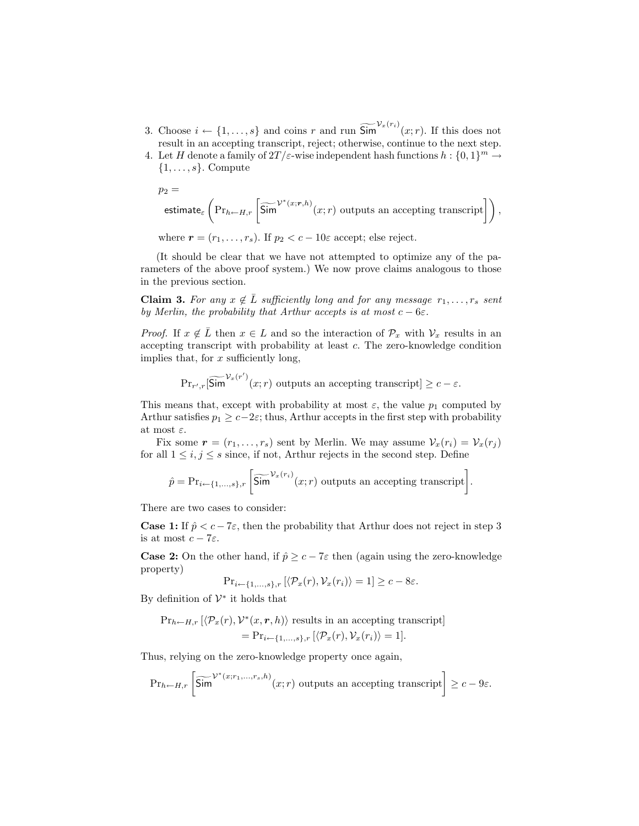- 3. Choose  $i \leftarrow \{1, \ldots, s\}$  and coins r and run  $\widetilde{\text{Sim}}^{\mathcal{V}_x(r_i)}(x; r)$ . If this does not result in an accepting transcript, reject; otherwise, continue to the next step.
- 4. Let H denote a family of  $2T/\varepsilon$ -wise independent hash functions  $h: \{0,1\}^m \to$  $\{1, \ldots, s\}$ . Compute

$$
p_2 =
$$
  
estimate <sub>$\varepsilon$</sub>   $\left( \Pr_{h \leftarrow H, r} \left[ \widetilde{\text{Sim}}^{\mathcal{V}^*(x;r,h)}(x;r) \text{ outputs an accepting transcript} \right] \right),$ 

where  $\mathbf{r} = (r_1, \ldots, r_s)$ . If  $p_2 < c - 10\varepsilon$  accept; else reject.

(It should be clear that we have not attempted to optimize any of the parameters of the above proof system.) We now prove claims analogous to those in the previous section.

**Claim 3.** For any  $x \notin \overline{L}$  sufficiently long and for any message  $r_1, \ldots, r_s$  sent by Merlin, the probability that Arthur accepts is at most  $c - 6\varepsilon$ .

*Proof.* If  $x \notin \overline{L}$  then  $x \in L$  and so the interaction of  $\mathcal{P}_x$  with  $\mathcal{V}_x$  results in an accepting transcript with probability at least c. The zero-knowledge condition implies that, for  $x$  sufficiently long,

$$
\text{Pr}_{r',r}[\widetilde{\text{Sim}}^{\mathcal{V}_x(r')}(x;r) \text{ outputs an accepting transcript}] \ge c - \varepsilon.
$$

This means that, except with probability at most  $\varepsilon$ , the value  $p_1$  computed by Arthur satisfies  $p_1 \geq c-2\varepsilon$ ; thus, Arthur accepts in the first step with probability at most  $\varepsilon.$ 

Fix some  $\mathbf{r} = (r_1, \ldots, r_s)$  sent by Merlin. We may assume  $\mathcal{V}_x(r_i) = \mathcal{V}_x(r_j)$ for all  $1 \leq i, j \leq s$  since, if not, Arthur rejects in the second step. Define

$$
\hat{p} = \Pr_{i \leftarrow \{1, \dots, s\}, r} \left[ \widetilde{\mathsf{Sim}}^{\mathcal{V}_x(r_i)}(x; r) \text{ outputs an accepting transcript} \right].
$$

There are two cases to consider:

**Case 1:** If  $\hat{p} < c - 7\varepsilon$ , then the probability that Arthur does not reject in step 3 is at most  $c - 7\varepsilon$ .

**Case 2:** On the other hand, if  $\hat{p} \geq c - 7\varepsilon$  then (again using the zero-knowledge property)

$$
\Pr_{i \leftarrow \{1,\ldots,s\},r} [\langle \mathcal{P}_x(r), \mathcal{V}_x(r_i) \rangle = 1] \geq c - 8\varepsilon.
$$

By definition of  $\mathcal{V}^*$  it holds that

$$
\Pr_{h \leftarrow H,r} [\langle \mathcal{P}_x(r), \mathcal{V}^*(x, r, h) \rangle \text{ results in an accepting transcript}] \\
= \Pr_{i \leftarrow \{1, ..., s\},r} [\langle \mathcal{P}_x(r), \mathcal{V}_x(r_i) \rangle = 1].
$$

Thus, relying on the zero-knowledge property once again,

$$
\Pr_{h \leftarrow H, r} \left[ \widetilde{\mathsf{Sim}}^{\mathcal{V}^*(x; r_1, \dots, r_s, h)}(x; r) \text{ outputs an accepting transcript} \right] \ge c - 9\varepsilon.
$$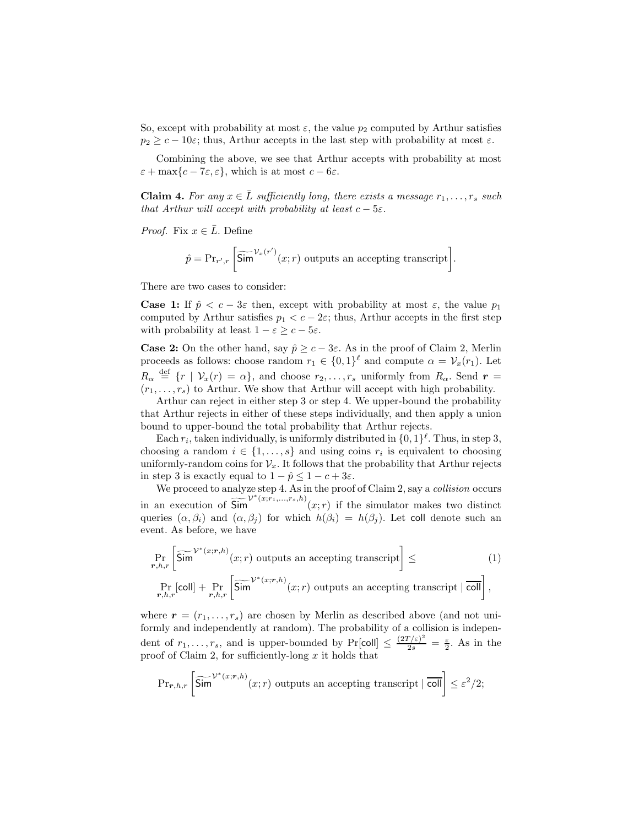So, except with probability at most  $\varepsilon$ , the value  $p_2$  computed by Arthur satisfies  $p_2 \geq c - 10\varepsilon$ ; thus, Arthur accepts in the last step with probability at most  $\varepsilon$ .

Combining the above, we see that Arthur accepts with probability at most  $\varepsilon$  + max $\{c - 7\varepsilon, \varepsilon\}$ , which is at most  $c - 6\varepsilon$ .

**Claim 4.** For any  $x \in \overline{L}$  sufficiently long, there exists a message  $r_1, \ldots, r_s$  such that Arthur will accept with probability at least  $c - 5\varepsilon$ .

*Proof.* Fix  $x \in \overline{L}$ . Define

$$
\hat{p} = \Pr_{r',r} \left[ \widetilde{\textsf{Sim}}^{\mathcal{V}_x(r')}(x;r) \text{ outputs an accepting transcript} \right].
$$

There are two cases to consider:

**Case 1:** If  $\hat{p} < c - 3\varepsilon$  then, except with probability at most  $\varepsilon$ , the value  $p_1$ computed by Arthur satisfies  $p_1 < c - 2\varepsilon$ ; thus, Arthur accepts in the first step with probability at least  $1 - \varepsilon \geq c - 5\varepsilon$ .

**Case 2:** On the other hand, say  $\hat{p} \geq c - 3\varepsilon$ . As in the proof of Claim 2, Merlin proceeds as follows: choose random  $r_1 \in \{0,1\}^{\ell}$  and compute  $\alpha = \mathcal{V}_x(r_1)$ . Let  $R_{\alpha} \stackrel{\text{def}}{=} \{r \mid \mathcal{V}_x(r) = \alpha\},\$  and choose  $r_2,\ldots,r_s$  uniformly from  $R_{\alpha}$ . Send  $r =$  $(r_1, \ldots, r_s)$  to Arthur. We show that Arthur will accept with high probability.

Arthur can reject in either step 3 or step 4. We upper-bound the probability that Arthur rejects in either of these steps individually, and then apply a union bound to upper-bound the total probability that Arthur rejects.

Each  $r_i$ , taken individually, is uniformly distributed in  $\{0,1\}^{\ell}$ . Thus, in step 3, choosing a random  $i \in \{1, \ldots, s\}$  and using coins  $r_i$  is equivalent to choosing uniformly-random coins for  $\mathcal{V}_x$ . It follows that the probability that Arthur rejects in step 3 is exactly equal to  $1 - \hat{p} \leq 1 - c + 3\varepsilon$ .

We proceed to analyze step 4. As in the proof of Claim 2, say a *collision* occurs in an execution of  $\overrightarrow{\text{Sim}}^{V^*(x;r_1,...,r_s,h)}(x;r)$  if the simulator makes two distinct queries  $(\alpha, \beta_i)$  and  $(\alpha, \beta_j)$  for which  $h(\beta_i) = h(\beta_j)$ . Let coll denote such an event. As before, we have

$$
\Pr_{r,h,r} \left[ \widetilde{\text{Sim}}^{\mathcal{V}^*(x;r,h)}(x;r) \text{ outputs an accepting transcript} \right] \leq (1)
$$
\n
$$
\Pr_{r,h,r} \left[ \text{coll} + \Pr_{r,h,r} \left[ \widetilde{\text{Sim}}^{\mathcal{V}^*(x;r,h)}(x;r) \text{ outputs an accepting transcript} \mid \overline{\text{coll}} \right],
$$

where  $\mathbf{r} = (r_1, \ldots, r_s)$  are chosen by Merlin as described above (and not uniformly and independently at random). The probability of a collision is independent of  $r_1, \ldots, r_s$ , and is upper-bounded by Pr[coll]  $\leq \frac{(2T/\varepsilon)^2}{2s} = \frac{\varepsilon}{2}$ . As in the proof of Claim 2, for sufficiently-long  $x$  it holds that

$$
\Pr_{\mathbf{r},h,r} \left[ \widetilde{\mathsf{Sim}}^{\mathcal{V}^*(x;\mathbf{r},h)}(x;r) \text{ outputs an accepting transcript } | \overline{\text{coll}} \right] \leq \varepsilon^2/2;
$$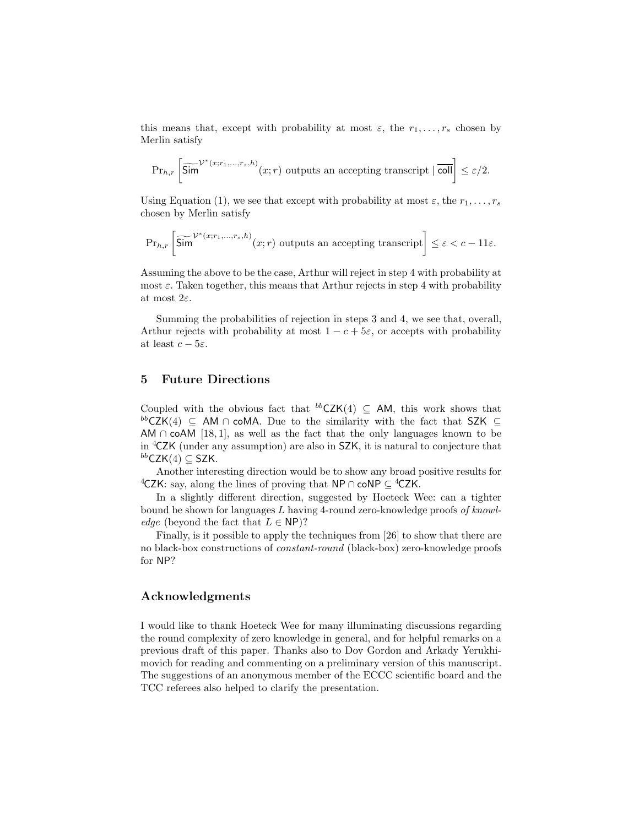this means that, except with probability at most  $\varepsilon$ , the  $r_1, \ldots, r_s$  chosen by Merlin satisfy

$$
\mathrm{Pr}_{h,r}\left[\widetilde{\mathsf{Sim}}^{\mathcal{V}^*(x;r_1,...,r_s,h)}(x;r) \text{ outputs an accepting transcript }|\overline{\mathsf{coll}}\right] \leq \varepsilon/2.
$$

Using Equation (1), we see that except with probability at most  $\varepsilon$ , the  $r_1, \ldots, r_s$ chosen by Merlin satisfy

$$
\text{Pr}_{h,r}\left[\widetilde{\text{Sim}}^{\mathcal{V}^*(x;r_1,...,r_s,h)}(x;r)\text{ outputs an accepting transcript}\right]\leq\varepsilon
$$

Assuming the above to be the case, Arthur will reject in step 4 with probability at most  $\varepsilon$ . Taken together, this means that Arthur rejects in step 4 with probability at most  $2\varepsilon$ .

Summing the probabilities of rejection in steps 3 and 4, we see that, overall, Arthur rejects with probability at most  $1 - c + 5\varepsilon$ , or accepts with probability at least  $c - 5\varepsilon$ .

# 5 Future Directions

Coupled with the obvious fact that  $^{bb}CZK(4) \subset AM$ , this work shows that  $^{bb}$ CZK(4) ⊆ AM ∩ coMA. Due to the similarity with the fact that SZK ⊆ AM ∩ coAM [18, 1], as well as the fact that the only languages known to be in <sup>4</sup>CZK (under any assumption) are also in SZK, it is natural to conjecture that  $^{bb}$ CZK(4)  $\subseteq$  SZK.

Another interesting direction would be to show any broad positive results for <sup>4</sup>CZK: say, along the lines of proving that NP ∩ coNP  $\subseteq$  <sup>4</sup>CZK.

In a slightly different direction, suggested by Hoeteck Wee: can a tighter bound be shown for languages  $L$  having 4-round zero-knowledge proofs of knowl*edge* (beyond the fact that  $L \in \mathsf{NP}$ )?

Finally, is it possible to apply the techniques from [26] to show that there are no black-box constructions of constant-round (black-box) zero-knowledge proofs for NP?

## Acknowledgments

I would like to thank Hoeteck Wee for many illuminating discussions regarding the round complexity of zero knowledge in general, and for helpful remarks on a previous draft of this paper. Thanks also to Dov Gordon and Arkady Yerukhimovich for reading and commenting on a preliminary version of this manuscript. The suggestions of an anonymous member of the ECCC scientific board and the TCC referees also helped to clarify the presentation.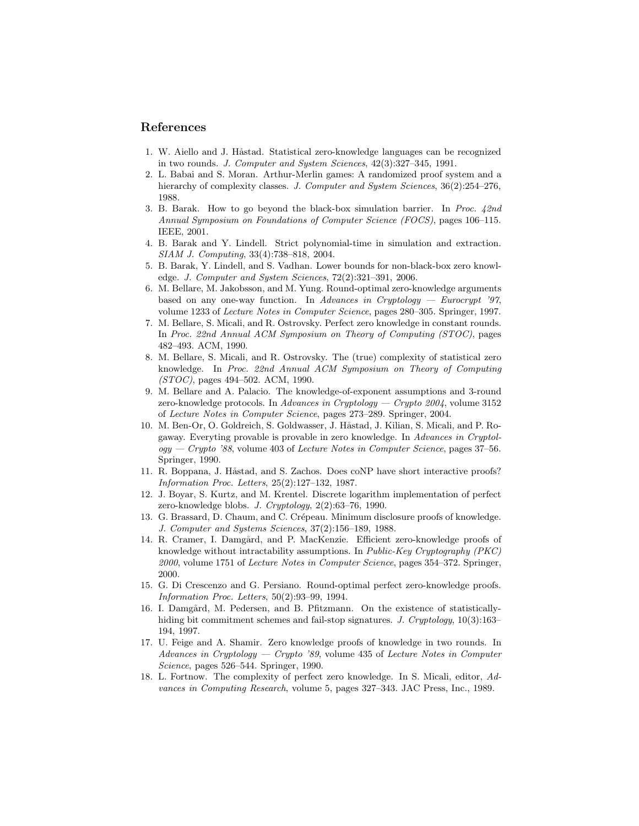## References

- 1. W. Aiello and J. Håstad. Statistical zero-knowledge languages can be recognized in two rounds. J. Computer and System Sciences, 42(3):327–345, 1991.
- 2. L. Babai and S. Moran. Arthur-Merlin games: A randomized proof system and a hierarchy of complexity classes. J. Computer and System Sciences,  $36(2):254-276$ , 1988.
- 3. B. Barak. How to go beyond the black-box simulation barrier. In Proc. 42nd Annual Symposium on Foundations of Computer Science (FOCS), pages 106–115. IEEE, 2001.
- 4. B. Barak and Y. Lindell. Strict polynomial-time in simulation and extraction. SIAM J. Computing, 33(4):738–818, 2004.
- 5. B. Barak, Y. Lindell, and S. Vadhan. Lower bounds for non-black-box zero knowledge. J. Computer and System Sciences, 72(2):321–391, 2006.
- 6. M. Bellare, M. Jakobsson, and M. Yung. Round-optimal zero-knowledge arguments based on any one-way function. In Advances in Cryptology — Eurocrypt '97, volume 1233 of Lecture Notes in Computer Science, pages 280–305. Springer, 1997.
- 7. M. Bellare, S. Micali, and R. Ostrovsky. Perfect zero knowledge in constant rounds. In Proc. 22nd Annual ACM Symposium on Theory of Computing (STOC), pages 482–493. ACM, 1990.
- 8. M. Bellare, S. Micali, and R. Ostrovsky. The (true) complexity of statistical zero knowledge. In Proc. 22nd Annual ACM Symposium on Theory of Computing  $(STOC)$ , pages 494–502. ACM, 1990.
- 9. M. Bellare and A. Palacio. The knowledge-of-exponent assumptions and 3-round zero-knowledge protocols. In Advances in Cryptology — Crypto  $2004$ , volume 3152 of Lecture Notes in Computer Science, pages 273–289. Springer, 2004.
- 10. M. Ben-Or, O. Goldreich, S. Goldwasser, J. Håstad, J. Kilian, S. Micali, and P. Rogaway. Everyting provable is provable in zero knowledge. In Advances in Cryptol $ogy - Crypto$  '88, volume 403 of Lecture Notes in Computer Science, pages 37–56. Springer, 1990.
- 11. R. Boppana, J. Håstad, and S. Zachos. Does coNP have short interactive proofs? Information Proc. Letters, 25(2):127–132, 1987.
- 12. J. Boyar, S. Kurtz, and M. Krentel. Discrete logarithm implementation of perfect zero-knowledge blobs. J. Cryptology, 2(2):63–76, 1990.
- 13. G. Brassard, D. Chaum, and C. Crépeau. Minimum disclosure proofs of knowledge. J. Computer and Systems Sciences, 37(2):156–189, 1988.
- 14. R. Cramer, I. Damgård, and P. MacKenzie. Efficient zero-knowledge proofs of knowledge without intractability assumptions. In Public-Key Cryptography (PKC) 2000, volume 1751 of Lecture Notes in Computer Science, pages 354–372. Springer, 2000.
- 15. G. Di Crescenzo and G. Persiano. Round-optimal perfect zero-knowledge proofs. Information Proc. Letters, 50(2):93–99, 1994.
- 16. I. Damgård, M. Pedersen, and B. Pfitzmann. On the existence of statisticallyhiding bit commitment schemes and fail-stop signatures. J. Cryptology, 10(3):163– 194, 1997.
- 17. U. Feige and A. Shamir. Zero knowledge proofs of knowledge in two rounds. In Advances in Cryptology — Crypto '89, volume 435 of Lecture Notes in Computer Science, pages 526–544. Springer, 1990.
- 18. L. Fortnow. The complexity of perfect zero knowledge. In S. Micali, editor, Advances in Computing Research, volume 5, pages 327–343. JAC Press, Inc., 1989.